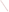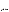

|                                                     | TECHNOLOGY TYPE: ON-LINE TURBIDIMETER                                |                                                    |
|-----------------------------------------------------|----------------------------------------------------------------------|----------------------------------------------------|
| <b>APPLICATION:</b>                                 | <b>MEASURING LOW TURBIDITY LEVELS</b>                                |                                                    |
| <b>TECHNOLOGY NAME: WTM500 On-Line Turbidimeter</b> |                                                                      |                                                    |
| <b>COMPANY:</b>                                     | <b>Sigrist-Photometer AG</b>                                         |                                                    |
| <b>ADDRESS:</b>                                     | Hofurlistrasse 1<br><b>CH-6373 Ennetburgen</b><br><b>Switzerland</b> | PHONE: ++41 41 620 50 64<br>$+41416204180$<br>FAX: |
| <b>WEB SITE:</b>                                    | www.photometer.com                                                   |                                                    |
| $E\text{-}MAIL:$                                    | info@photometer.com                                                  |                                                    |

The U.S. Environmental Protection Agency (EPA) has created the Environmental Technology Verification (ETV) Program to facilitate the deployment of innovative or improved environmental technologies through performance verification and dissemination of information. The goal of the ETV Program is to further environmental protection by substantially accelerating the acceptance and use of improved and cost-effective technologies. ETV seeks to achieve this goal by providing high quality, peer-reviewed data on technology performance to those involved in the design, distribution, financing, permitting, purchase, and use of environmental technologies.

ETV works in partnership with recognized standards and testing organizations; stakeholder groups which consist of buyers, vendor organizations, and permitters; and with the full participation of individual technology developers. The program evaluates the performance of innovative technologies by developing test plans that are responsive to the needs of stakeholders, conducting field or laboratory tests (as appropriate), collecting and analyzing data, and preparing peer-reviewed reports. All evaluations are conducted in accordance with rigorous quality assurance protocols to ensure that data of known and adequate quality are generated and that the results are defensible.

The Advanced Monitoring Systems (AMS) program, one of 12 technology areas under ETV, is operated by Battelle in cooperation with EPA's National Exposure Research Laboratory. AMS has recently evaluated the performance of on-line turbidimeters for use in water treatment facilities. This verification statement provides a summary of the test results for the Sigrist WTM500 on-line turbidimeter.

# **VERIFICATION TEST DESCRIPTION**

The verification test described in this report was conducted by Battelle in the fall of 1999 on commercial on-line turbidimeters at the City of Columbus Water Division's Dublin Road Water Plant in Columbus, Ohio. The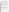verification test was conducted in two phases. An off-line phase challenged the turbidimeters with a series of prepared standards and other test solutions under controlled conditions, whereas an on-line phase assessed longterm performance under realistic conditions by monitoring a sample stream in a municipal water treatment plant. The on-line phase was intended to evaluate performance in continuous unattended monitoring over a low range of turbidity [i.e., 0.1 to 1 nephelometric turbidity unit (NTU)]. No attempt was made to determine the ultimate detection limits of the turbidimeters tested, which other studies have shown can be as low as 0.01 NTU.

In the off-line phase of testing, the linearity, accuracy, and precision of the Sigrist WTM500 turbidimeter were determined by comparing turbidity measurements on formazin solutions to reference measurements of the same solutions. By intentionally varying the water temperature, flow rate, and color of the sample solution, the effect of these parameters on the response of the Sigrist WTM500 turbidimeter was determined. In the on-line phase, a sample stream from a municipal water plant was continuously monitored by the WTM500 turbidimeter for approximately 4 weeks. Results from this phase of testing were used to determine the accuracy in measuring realworld samples and the drift characteristics of the WTM500. Quality assurance (QA) oversight of verification testing was provided by independent Battelle QA staff, who conducted a technical systems audit, and a data audit on 10 percent of the test data.

The verification test relied upon two reference methods: ISO 7027, "Water Quality—Determination of Turbidity," and EPA Method 180.1, "Determination of Turbidity by Nephelometry." The Sigrist WTM500 turbidimeter is designed to conform to ISO 7027 requirements, and thus comparison of WTM500 results to those from the ISO 7027 reference method was the primary means of verification. EPA Method 180.1 uses a different wavelength of light than the WTM500 (i.e., visible rather than infrared), and thus is not a directly equivalent method. However, the EPA Method 180.1 method is widely recognized in the U.S., by virtue of its status as one of the required methods for drinking water compliance measurements. Consequently, comparisons of the WTM500 results to Method 180.1 results were also made, and are presented as a secondary illustration of performance.

### **TECHNOLOGY DESCRIPTION**

The Sigrist WTM500 is an on-line turbidimeter, manufactured by Sigrist-Photometer AG, that provides non-contact measurement of the 90° scattered light in a free-falling water stream. Automatic adjustment using a fixed internal reference standard enhances measurement reliability and minimizes the need for cleaning and calibration. The WTM500 has a nominal range of 0 to 500 formazin nephelometric units (FNUs) in eight selectable scale ranges, with a maximum resolution of 0.001 FNU. The control unit has a two-line liquid-crystal display. Because the WTM500 has no flow cell and no windows, the optics of the turbidimeter do not need to be cleaned regularly. The turbidimeter is adjusted using a solid internal reference standard. The formazin calibration is checked at regular intervals against a built-in solid reference, and any deviations are corrected automatically. The WTM500 turbidimeter's measuring wavelength is 880 nm. The turbidimeter is designed to meet ISO 7027 requirements and measures samples between 0 and  $40^{\circ}$ C at a flow rate of between 0.84 and 1.06 gpm.

# **VERIFICATION OF PERFORMANCE**

The following are summaries of key performance characteristics as verified by comparison to the ISO 7027 reference method. Secondary illustrations of performance relative to the EPA 180.1 method are also shown in the body of the report, and generally showed similar performance to that found in the verification comparisons.

# **Off-Line Testing**

Linearity: The Sigrist WTM500 turbidimeter provided linear response over the tested range of <0.1 to 5 NTU. The slope of the response curve for the WTM500 relative to the ISO 7027 reference turbidimeter was 1.013, with an  $r^2$  value of >0.999, and an intercept of 0.001 NTU.